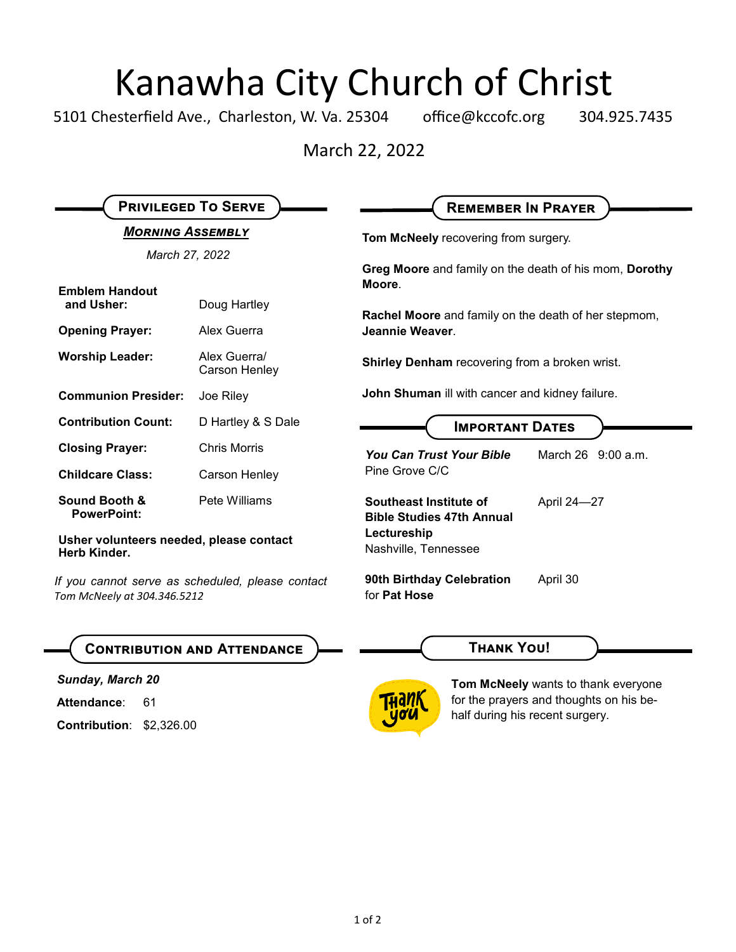# Kanawha City Church of Christ<br>esterfield Ave., Charleston, W. Va. 25304 office@kccofc.org 304.9

5101 Chesterfield Ave., Charleston, W. Va. 25304 office@kccofc.org 304.925.7435

March 22, 2022

| <b>MORNING ASSEMBLY</b>                                                         |                               | Tom McNeely recovering from surgery.                                    |                    |
|---------------------------------------------------------------------------------|-------------------------------|-------------------------------------------------------------------------|--------------------|
|                                                                                 | March 27, 2022                |                                                                         |                    |
| <b>Emblem Handout</b><br>and Usher:<br>Doug Hartley                             |                               | Greg Moore and family on the death of his mom, Dorothy<br>Moore.        |                    |
| <b>Opening Prayer:</b>                                                          | Alex Guerra                   | Rachel Moore and family on the death of her stepmom,<br>Jeannie Weaver. |                    |
| <b>Worship Leader:</b>                                                          | Alex Guerra/<br>Carson Henley | <b>Shirley Denham</b> recovering from a broken wrist.                   |                    |
| <b>Communion Presider:</b>                                                      | Joe Riley                     | John Shuman ill with cancer and kidney failure.                         |                    |
| <b>Contribution Count:</b>                                                      | D Hartley & S Dale            | <b>IMPORTANT DATES</b>                                                  |                    |
| <b>Closing Prayer:</b>                                                          | <b>Chris Morris</b>           | <b>You Can Trust Your Bible</b><br>Pine Grove C/C                       | March 26 9:00 a.m. |
| <b>Childcare Class:</b>                                                         | Carson Henley                 |                                                                         |                    |
| <b>Sound Booth &amp;</b><br><b>PowerPoint:</b>                                  | Pete Williams                 | Southeast Institute of<br><b>Bible Studies 47th Annual</b>              | April 24-27        |
| Usher volunteers needed, please contact<br><b>Herb Kinder.</b>                  |                               | Lectureship<br>Nashville, Tennessee                                     |                    |
| If you cannot serve as scheduled, please contact<br>Tom McNeely at 304.346.5212 |                               | 90th Birthday Celebration<br>for Pat Hose                               | April 30           |

*Sunday, March 20*

Attendance: 61

**Contribution**: \$2,326.00



**Tom McNeely** wants to thank everyone for the prayers and thoughts on his behalf during his recent surgery.